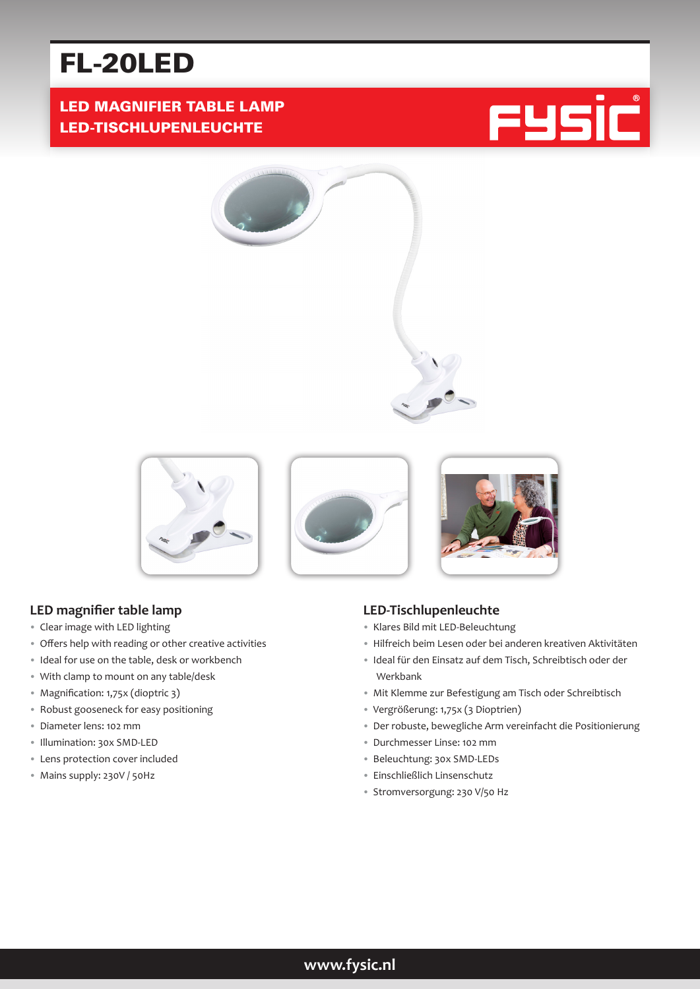# FL-20LED

# LED MAGNIFIER TABLE LAMP LED-TISCHLUPENLEUCHTE















### **LED magnifier table lamp**

- Clear image with LED lighting
- Offers help with reading or other creative activities
- Ideal for use on the table, desk or workbench
- With clamp to mount on any table/desk
- Magnification: 1,75x (dioptric 3)
- Robust gooseneck for easy positioning
- Diameter lens: 102 mm
- Illumination: 30x SMD-LED
- Lens protection cover included
- Mains supply: 230V / 50Hz

### **LED-Tischlupenleuchte**

- Klares Bild mit LED-Beleuchtung
- Hilfreich beim Lesen oder bei anderen kreativen Aktivitäten
- Ideal für den Einsatz auf dem Tisch, Schreibtisch oder der Werkbank
- Mit Klemme zur Befestigung am Tisch oder Schreibtisch
- Vergrößerung: 1,75x (3 Dioptrien)
- Der robuste, bewegliche Arm vereinfacht die Positionierung
- Durchmesser Linse: 102 mm
- Beleuchtung: 30x SMD-LEDs
- Einschließlich Linsenschutz
- Stromversorgung: 230 V/50 Hz